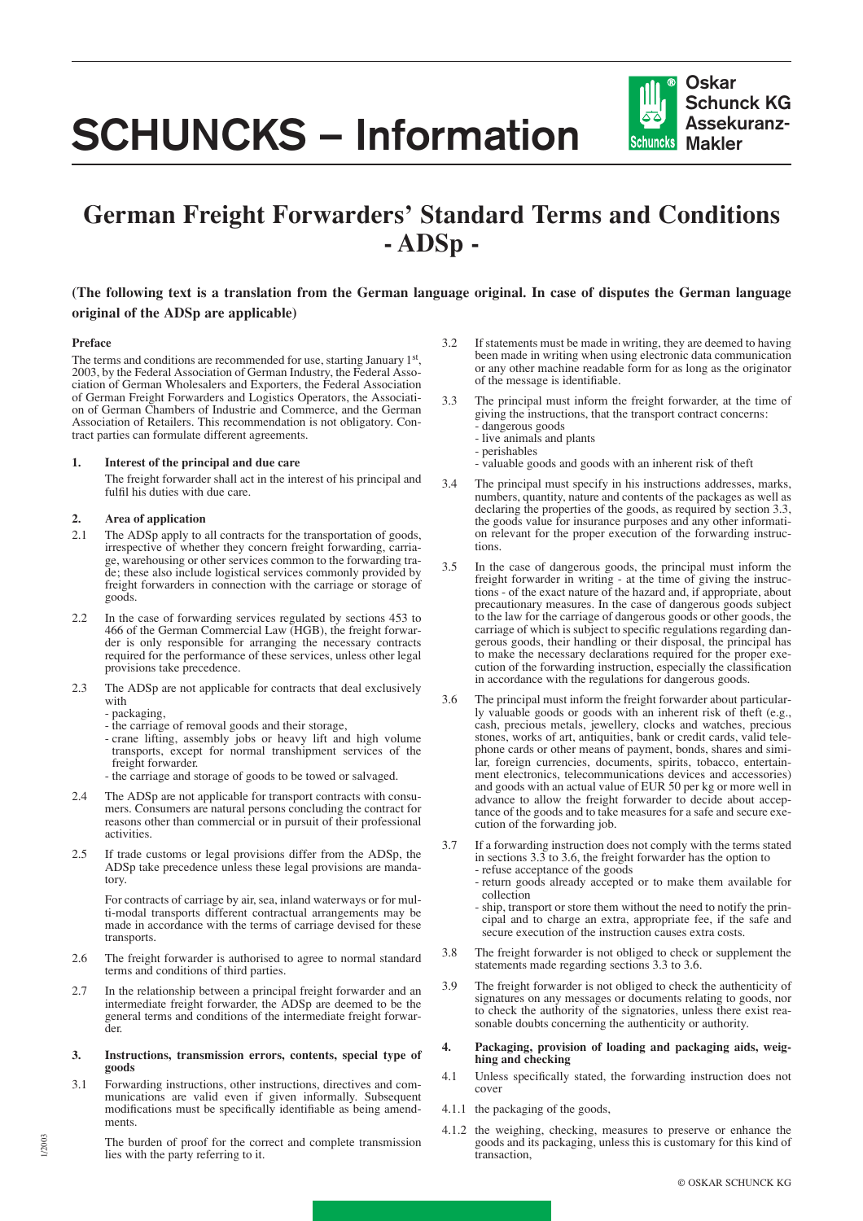# **SCHUNCKS – Information**

## **German Freight Forwarders' Standard Terms and Conditions - ADSp -**

### **(The following text is a translation from the German language original. In case of disputes the German language original of the ADSp are applicable)**

#### **Preface**

The terms and conditions are recommended for use, starting January 1st, 2003, by the Federal Association of German Industry, the Federal Association of German Wholesalers and Exporters, the Federal Association of German Freight Forwarders and Logistics Operators, the Association of German Chambers of Industrie and Commerce, and the German Association of Retailers. This recommendation is not obligatory. Contract parties can formulate different agreements.

#### **1. Interest of the principal and due care**

The freight forwarder shall act in the interest of his principal and fulfil his duties with due care.

#### **2. Area of application**

- 2.1 The ADSp apply to all contracts for the transportation of goods, irrespective of whether they concern freight forwarding, carriage, warehousing or other services common to the forwarding trade; these also include logistical services commonly provided by freight forwarders in connection with the carriage or storage of goods.
- 2.2 In the case of forwarding services regulated by sections 453 to 466 of the German Commercial Law (HGB), the freight forwarder is only responsible for arranging the necessary contracts required for the performance of these services, unless other legal provisions take precedence.
- 2.3 The ADSp are not applicable for contracts that deal exclusively with
	- packaging,

1/2003

- the carriage of removal goods and their storage,
- crane lifting, assembly jobs or heavy lift and high volume transports, except for normal transhipment services of the freight forwarder.
- the carriage and storage of goods to be towed or salvaged.
- 2.4 The ADSp are not applicable for transport contracts with consumers. Consumers are natural persons concluding the contract for reasons other than commercial or in pursuit of their professional activities.
- 2.5 If trade customs or legal provisions differ from the ADSp, the ADSp take precedence unless these legal provisions are mandatory.

For contracts of carriage by air, sea, inland waterways or for multi-modal transports different contractual arrangements may be made in accordance with the terms of carriage devised for these transports.

- 2.6 The freight forwarder is authorised to agree to normal standard terms and conditions of third parties.
- 2.7 In the relationship between a principal freight forwarder and an intermediate freight forwarder, the ADSp are deemed to be the general terms and conditions of the intermediate freight forwarder.
- **3. Instructions, transmission errors, contents, special type of goods**
- 3.1 Forwarding instructions, other instructions, directives and communications are valid even if given informally. Subsequent modifications must be specifically identifiable as being amendments.
	- The burden of proof for the correct and complete transmission lies with the party referring to it.
- 3.2 If statements must be made in writing, they are deemed to having been made in writing when using electronic data communication or any other machine readable form for as long as the originator of the message is identifiable.
- 3.3 The principal must inform the freight forwarder, at the time of giving the instructions, that the transport contract concerns: - dangerous goods
	- live animals and plants
	- perishables
	- valuable goods and goods with an inherent risk of theft
- 3.4 The principal must specify in his instructions addresses, marks, numbers, quantity, nature and contents of the packages as well as declaring the properties of the goods, as required by section 3.3, the goods value for insurance purposes and any other information relevant for the proper execution of the forwarding instructions.
- 3.5 In the case of dangerous goods, the principal must inform the freight forwarder in writing - at the time of giving the instructions - of the exact nature of the hazard and, if appropriate, about precautionary measures. In the case of dangerous goods subject to the law for the carriage of dangerous goods or other goods, the carriage of which is subject to specific regulations regarding dangerous goods, their handling or their disposal, the principal has to make the necessary declarations required for the proper execution of the forwarding instruction, especially the classification in accordance with the regulations for dangerous goods.
- 3.6 The principal must inform the freight forwarder about particularly valuable goods or goods with an inherent risk of theft (e.g., cash, precious metals, jewellery, clocks and watches, precious stones, works of art, antiquities, bank or credit cards, valid telephone cards or other means of payment, bonds, shares and similar, foreign currencies, documents, spirits, tobacco, entertainment electronics, telecommunications devices and accessories) and goods with an actual value of EUR 50 per kg or more well in advance to allow the freight forwarder to decide about acceptance of the goods and to take measures for a safe and secure execution of the forwarding job.
- 3.7 If a forwarding instruction does not comply with the terms stated in sections 3.3 to 3.6, the freight forwarder has the option to - refuse acceptance of the goods
	- return goods already accepted or to make them available for collection
	- ship, transport or store them without the need to notify the principal and to charge an extra, appropriate fee, if the safe and secure execution of the instruction causes extra costs.
- 3.8 The freight forwarder is not obliged to check or supplement the statements made regarding sections 3.3 to 3.6.
- 3.9 The freight forwarder is not obliged to check the authenticity of signatures on any messages or documents relating to goods, nor to check the authority of the signatories, unless there exist reasonable doubts concerning the authenticity or authority.
- **4. Packaging, provision of loading and packaging aids, weighing and checking**
- 4.1 Unless specifically stated, the forwarding instruction does not cover
- 4.1.1 the packaging of the goods,
- 4.1.2 the weighing, checking, measures to preserve or enhance the goods and its packaging, unless this is customary for this kind of transaction,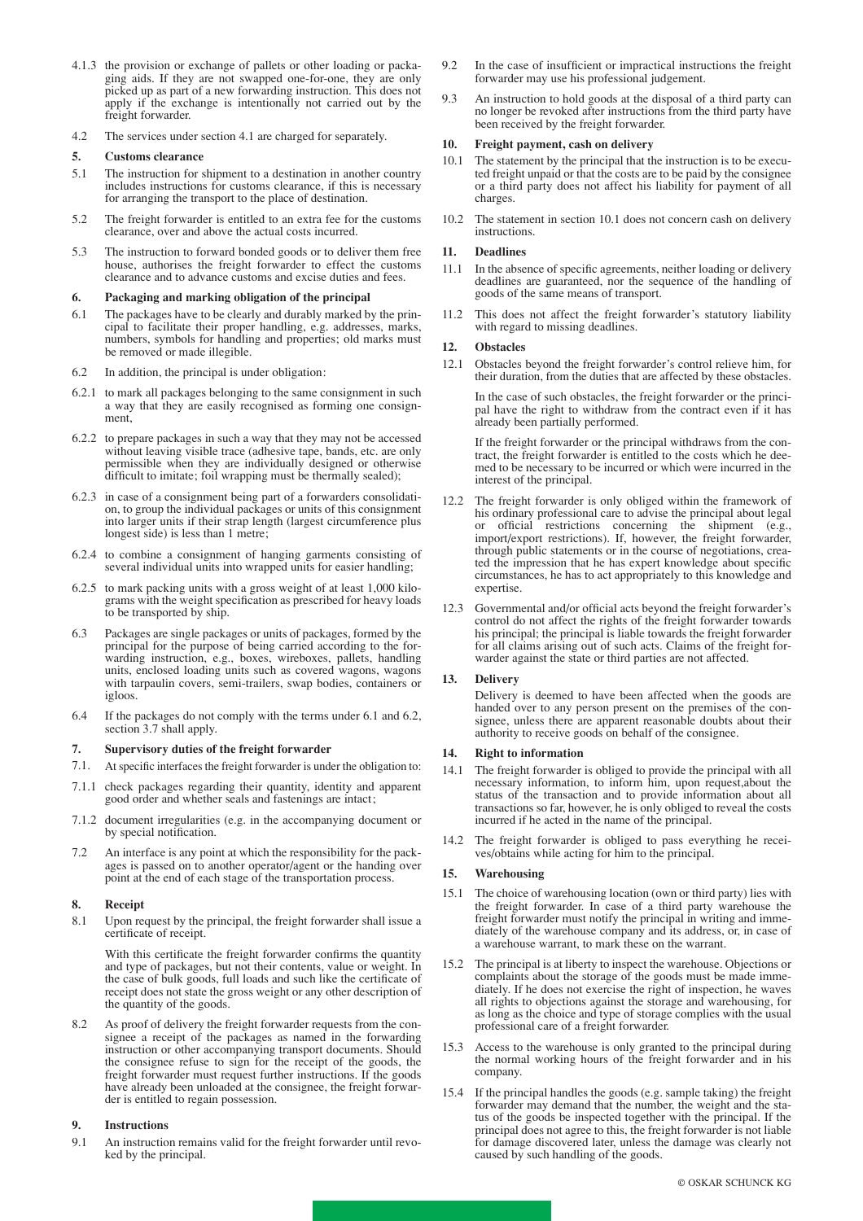- 4.1.3 the provision or exchange of pallets or other loading or packaging aids. If they are not swapped one-for-one, they are only picked up as part of a new forwarding instruction. This does not apply if the exchange is intentionally not carried out by the freight forwarder.
- 4.2 The services under section 4.1 are charged for separately.

#### **5. Customs clearance**

- 5.1 The instruction for shipment to a destination in another country includes instructions for customs clearance, if this is necessary for arranging the transport to the place of destination.
- 5.2 The freight forwarder is entitled to an extra fee for the customs clearance, over and above the actual costs incurred.
- 5.3 The instruction to forward bonded goods or to deliver them free house, authorises the freight forwarder to effect the customs clearance and to advance customs and excise duties and fees.

#### **6. Packaging and marking obligation of the principal**

- 6.1 The packages have to be clearly and durably marked by the principal to facilitate their proper handling, e.g. addresses, marks, numbers, symbols for handling and properties; old marks must be removed or made illegible.
- 6.2 In addition, the principal is under obligation:
- 6.2.1 to mark all packages belonging to the same consignment in such a way that they are easily recognised as forming one consignment,
- 6.2.2 to prepare packages in such a way that they may not be accessed without leaving visible trace (adhesive tape, bands, etc. are only permissible when they are individually designed or otherwise difficult to imitate; foil wrapping must be thermally sealed);
- 6.2.3 in case of a consignment being part of a forwarders consolidation, to group the individual packages or units of this consignment into larger units if their strap length (largest circumference plus longest side) is less than 1 metre;
- 6.2.4 to combine a consignment of hanging garments consisting of several individual units into wrapped units for easier handling;
- 6.2.5 to mark packing units with a gross weight of at least 1,000 kilograms with the weight specification as prescribed for heavy loads to be transported by ship.
- 6.3 Packages are single packages or units of packages, formed by the principal for the purpose of being carried according to the forwarding instruction, e.g., boxes, wireboxes, pallets, handling units, enclosed loading units such as covered wagons, wagons with tarpaulin covers, semi-trailers, swap bodies, containers or igloos.
- 6.4 If the packages do not comply with the terms under 6.1 and 6.2, section 3.7 shall apply.

#### **7. Supervisory duties of the freight forwarder**

- 7.1. At specific interfaces the freight forwarder is under the obligation to:
- 7.1.1 check packages regarding their quantity, identity and apparent good order and whether seals and fastenings are intact;
- 7.1.2 document irregularities (e.g. in the accompanying document or by special notification.
- 7.2 An interface is any point at which the responsibility for the packages is passed on to another operator/agent or the handing over point at the end of each stage of the transportation process.

#### **8. Receipt**

8.1 Upon request by the principal, the freight forwarder shall issue a certificate of receipt.

With this certificate the freight forwarder confirms the quantity and type of packages, but not their contents, value or weight. In the case of bulk goods, full loads and such like the certificate of receipt does not state the gross weight or any other description of the quantity of the goods.

8.2 As proof of delivery the freight forwarder requests from the consignee a receipt of the packages as named in the forwarding instruction or other accompanying transport documents. Should the consignee refuse to sign for the receipt of the goods, the freight forwarder must request further instructions. If the goods have already been unloaded at the consignee, the freight forwarder is entitled to regain possession.

#### **9. Instructions**

9.1 An instruction remains valid for the freight forwarder until revoked by the principal.

- 9.2 In the case of insufficient or impractical instructions the freight forwarder may use his professional judgement.
- 9.3 An instruction to hold goods at the disposal of a third party can no longer be revoked after instructions from the third party have been received by the freight forwarder.

#### **10. Freight payment, cash on delivery**

- 10.1 The statement by the principal that the instruction is to be executed freight unpaid or that the costs are to be paid by the consignee or a third party does not affect his liability for payment of all charges.
- 10.2 The statement in section 10.1 does not concern cash on delivery instructions.

#### **11. Deadlines**

- 11.1 In the absence of specific agreements, neither loading or delivery deadlines are guaranteed, nor the sequence of the handling of goods of the same means of transport.
- 11.2 This does not affect the freight forwarder's statutory liability with regard to missing deadlines.

#### **12. Obstacles**

12.1 Obstacles beyond the freight forwarder's control relieve him, for their duration, from the duties that are affected by these obstacles.

In the case of such obstacles, the freight forwarder or the principal have the right to withdraw from the contract even if it has already been partially performed.

If the freight forwarder or the principal withdraws from the contract, the freight forwarder is entitled to the costs which he deemed to be necessary to be incurred or which were incurred in the interest of the principal.

- 12.2 The freight forwarder is only obliged within the framework of his ordinary professional care to advise the principal about legal or official restrictions concerning the shipment (e.g., import/export restrictions). If, however, the freight forwarder, through public statements or in the course of negotiations, created the impression that he has expert knowledge about specific circumstances, he has to act appropriately to this knowledge and expertise.
- 12.3 Governmental and/or official acts beyond the freight forwarder's control do not affect the rights of the freight forwarder towards his principal; the principal is liable towards the freight forwarder for all claims arising out of such acts. Claims of the freight forwarder against the state or third parties are not affected.

#### **13. Delivery**

Delivery is deemed to have been affected when the goods are handed over to any person present on the premises of the consignee, unless there are apparent reasonable doubts about their authority to receive goods on behalf of the consignee.

#### **14. Right to information**

- 14.1 The freight forwarder is obliged to provide the principal with all necessary information, to inform him, upon request,about the status of the transaction and to provide information about all transactions so far, however, he is only obliged to reveal the costs incurred if he acted in the name of the principal.
- 14.2 The freight forwarder is obliged to pass everything he receives/obtains while acting for him to the principal.

#### **15. Warehousing**

- 15.1 The choice of warehousing location (own or third party) lies with the freight forwarder. In case of a third party warehouse the freight forwarder must notify the principal in writing and immediately of the warehouse company and its address, or, in case of a warehouse warrant, to mark these on the warrant.
- 15.2 The principal is at liberty to inspect the warehouse. Objections or complaints about the storage of the goods must be made immediately. If he does not exercise the right of inspection, he waves all rights to objections against the storage and warehousing, for as long as the choice and type of storage complies with the usual professional care of a freight forwarder.
- 15.3 Access to the warehouse is only granted to the principal during the normal working hours of the freight forwarder and in his company.
- 15.4 If the principal handles the goods (e.g. sample taking) the freight forwarder may demand that the number, the weight and the status of the goods be inspected together with the principal. If the principal does not agree to this, the freight forwarder is not liable for damage discovered later, unless the damage was clearly not caused by such handling of the goods.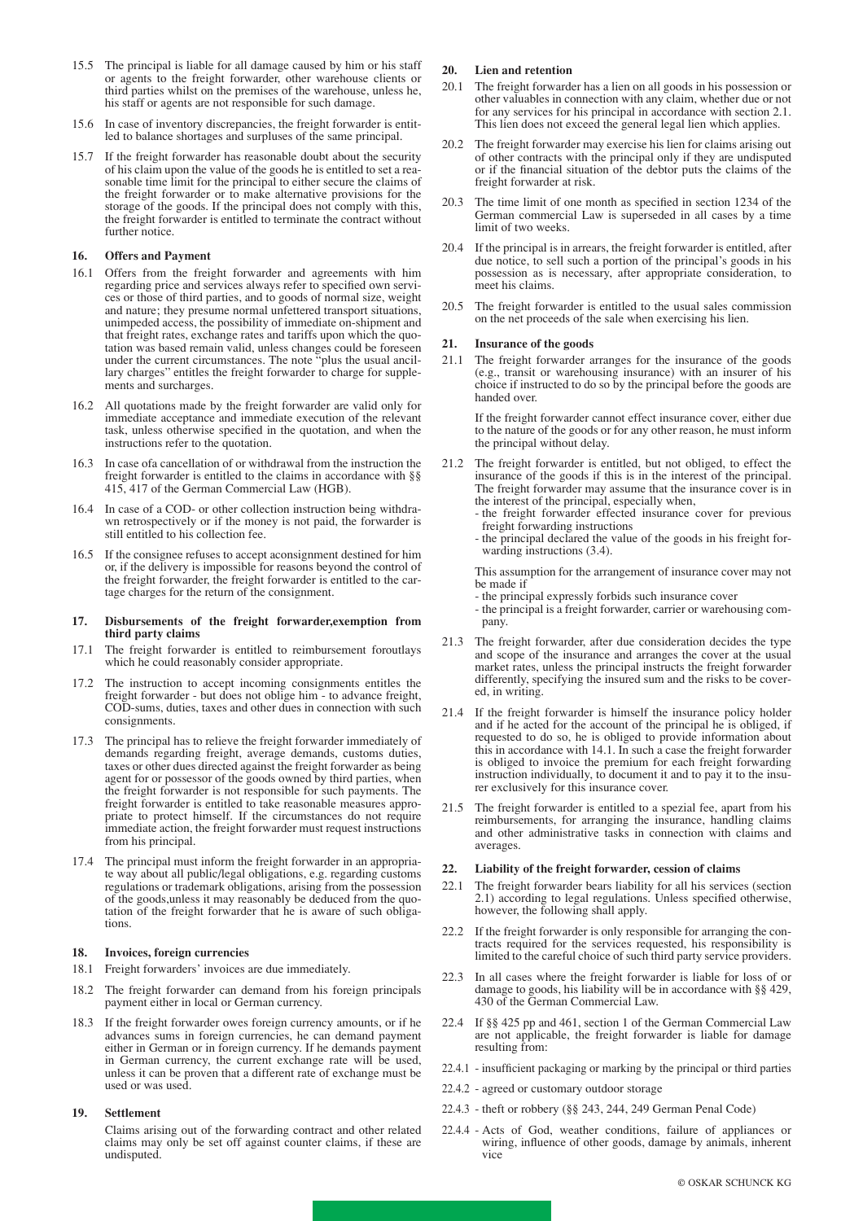- 15.5 The principal is liable for all damage caused by him or his staff or agents to the freight forwarder, other warehouse clients or third parties whilst on the premises of the warehouse, unless he, his staff or agents are not responsible for such damage.
- 15.6 In case of inventory discrepancies, the freight forwarder is entitled to balance shortages and surpluses of the same principal.
- 15.7 If the freight forwarder has reasonable doubt about the security of his claim upon the value of the goods he is entitled to set a reasonable time limit for the principal to either secure the claims of the freight forwarder or to make alternative provisions for the storage of the goods. If the principal does not comply with this, the freight forwarder is entitled to terminate the contract without further notice.

#### **16. Offers and Payment**

- 16.1 Offers from the freight forwarder and agreements with him regarding price and services always refer to specified own services or those of third parties, and to goods of normal size, weight and nature; they presume normal unfettered transport situations, unimpeded access, the possibility of immediate on-shipment and that freight rates, exchange rates and tariffs upon which the quotation was based remain valid, unless changes could be foreseen under the current circumstances. The note "plus the usual ancillary charges" entitles the freight forwarder to charge for supplements and surcharges.
- 16.2 All quotations made by the freight forwarder are valid only for immediate acceptance and immediate execution of the relevant task, unless otherwise specified in the quotation, and when the instructions refer to the quotation.
- 16.3 In case ofa cancellation of or withdrawal from the instruction the freight forwarder is entitled to the claims in accordance with §§ 415, 417 of the German Commercial Law (HGB).
- 16.4 In case of a COD- or other collection instruction being withdrawn retrospectively or if the money is not paid, the forwarder is still entitled to his collection fee.
- 16.5 If the consignee refuses to accept aconsignment destined for him or, if the delivery is impossible for reasons beyond the control of the freight forwarder, the freight forwarder is entitled to the cartage charges for the return of the consignment.

#### **17. Disbursements of the freight forwarder,exemption from third party claims**

- 17.1 The freight forwarder is entitled to reimbursement foroutlays which he could reasonably consider appropriate.
- 17.2 The instruction to accept incoming consignments entitles the freight forwarder - but does not oblige him - to advance freight, COD-sums, duties, taxes and other dues in connection with such consignments.
- 17.3 The principal has to relieve the freight forwarder immediately of demands regarding freight, average demands, customs duties, taxes or other dues directed against the freight forwarder as being agent for or possessor of the goods owned by third parties, when the freight forwarder is not responsible for such payments. The freight forwarder is entitled to take reasonable measures appropriate to protect himself. If the circumstances do not require immediate action, the freight forwarder must request instructions from his principal.
- 17.4 The principal must inform the freight forwarder in an appropriate way about all public/legal obligations, e.g. regarding customs regulations or trademark obligations, arising from the possession of the goods,unless it may reasonably be deduced from the quotation of the freight forwarder that he is aware of such obligations.

#### **18. Invoices, foreign currencies**

- 18.1 Freight forwarders' invoices are due immediately.
- 18.2 The freight forwarder can demand from his foreign principals payment either in local or German currency.
- 18.3 If the freight forwarder owes foreign currency amounts, or if he advances sums in foreign currencies, he can demand payment either in German or in foreign currency. If he demands payment in German currency, the current exchange rate will be used, unless it can be proven that a different rate of exchange must be used or was used.

#### **19. Settlement**

Claims arising out of the forwarding contract and other related claims may only be set off against counter claims, if these are undisputed.

#### **20. Lien and retention**

- 20.1 The freight forwarder has a lien on all goods in his possession or other valuables in connection with any claim, whether due or not for any services for his principal in accordance with section 2.1. This lien does not exceed the general legal lien which applies.
- 20.2 The freight forwarder may exercise his lien for claims arising out of other contracts with the principal only if they are undisputed or if the financial situation of the debtor puts the claims of the freight forwarder at risk.
- 20.3 The time limit of one month as specified in section 1234 of the German commercial Law is superseded in all cases by a time limit of two weeks.
- 20.4 If the principal is in arrears, the freight forwarder is entitled, after due notice, to sell such a portion of the principal's goods in his possession as is necessary, after appropriate consideration, to meet his claims.
- 20.5 The freight forwarder is entitled to the usual sales commission on the net proceeds of the sale when exercising his lien.

#### **21. Insurance of the goods**

21.1 The freight forwarder arranges for the insurance of the goods (e.g., transit or warehousing insurance) with an insurer of his choice if instructed to do so by the principal before the goods are handed over.

If the freight forwarder cannot effect insurance cover, either due to the nature of the goods or for any other reason, he must inform the principal without delay.

- 21.2 The freight forwarder is entitled, but not obliged, to effect the insurance of the goods if this is in the interest of the principal. The freight forwarder may assume that the insurance cover is in the interest of the principal, especially when,
	- the freight forwarder effected insurance cover for previous freight forwarding instructions
	- the principal declared the value of the goods in his freight forwarding instructions (3.4).

This assumption for the arrangement of insurance cover may not be made if

- the principal expressly forbids such insurance cover

- the principal is a freight forwarder, carrier or warehousing company.

- 21.3 The freight forwarder, after due consideration decides the type and scope of the insurance and arranges the cover at the usual market rates, unless the principal instructs the freight forwarder differently, specifying the insured sum and the risks to be covered, in writing.
- 21.4 If the freight forwarder is himself the insurance policy holder and if he acted for the account of the principal he is obliged, if requested to do so, he is obliged to provide information about this in accordance with 14.1. In such a case the freight forwarder is obliged to invoice the premium for each freight forwarding instruction individually, to document it and to pay it to the insurer exclusively for this insurance cover.
- 21.5 The freight forwarder is entitled to a spezial fee, apart from his reimbursements, for arranging the insurance, handling claims and other administrative tasks in connection with claims and averages.

#### **22. Liability of the freight forwarder, cession of claims**

- 22.1 The freight forwarder bears liability for all his services (section 2.1) according to legal regulations. Unless specified otherwise, however, the following shall apply.
- 22.2 If the freight forwarder is only responsible for arranging the contracts required for the services requested, his responsibility is limited to the careful choice of such third party service providers.
- 22.3 In all cases where the freight forwarder is liable for loss of or damage to goods, his liability will be in accordance with §§ 429, 430 of the German Commercial Law.
- 22.4 If §§ 425 pp and 461, section 1 of the German Commercial Law are not applicable, the freight forwarder is liable for damage resulting from:
- 22.4.1 insufficient packaging or marking by the principal or third parties
- 22.4.2 agreed or customary outdoor storage
- 22.4.3 theft or robbery (§§ 243, 244, 249 German Penal Code)
- 22.4.4 Acts of God, weather conditions, failure of appliances or wiring, influence of other goods, damage by animals, inherent vice